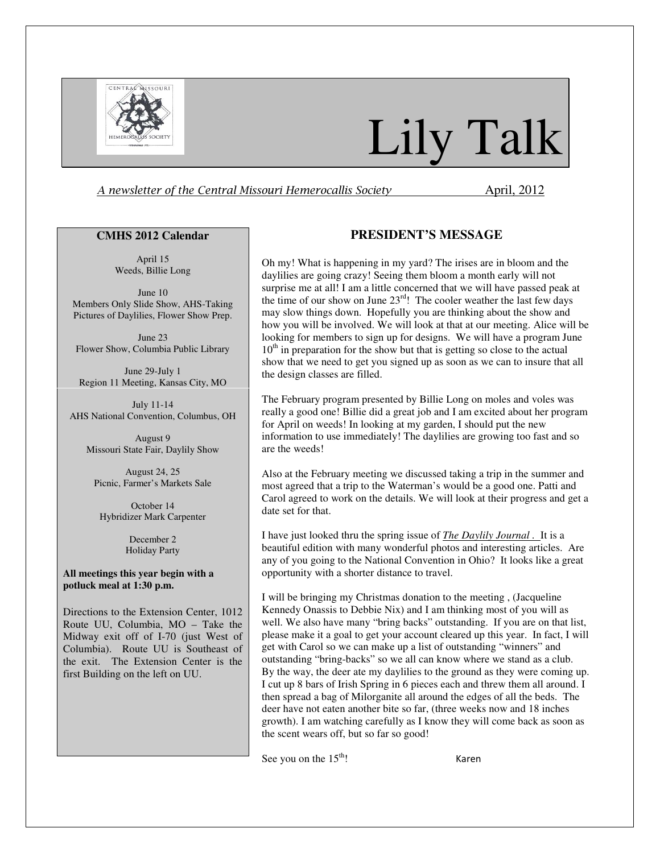

# Lily Talk

A newsletter of the Central Missouri Hemerocallis Society **April**, 2012

#### **CMHS 2012 Calendar**

April 15 Weeds, Billie Long

June 10 Members Only Slide Show, AHS-Taking Pictures of Daylilies, Flower Show Prep.

June 23 Flower Show, Columbia Public Library

June 29-July 1 Region 11 Meeting, Kansas City, MO

July 11-14 AHS National Convention, Columbus, OH

August 9 Missouri State Fair, Daylily Show

August 24, 25 Picnic, Farmer's Markets Sale

October 14 Hybridizer Mark Carpenter

> December 2 Holiday Party

#### **All meetings this year begin with a potluck meal at 1:30 p.m.**

Directions to the Extension Center, 1012 Route UU, Columbia, MO – Take the Midway exit off of I-70 (just West of Columbia). Route UU is Southeast of the exit. The Extension Center is the first Building on the left on UU.

# **PRESIDENT'S MESSAGE**

Oh my! What is happening in my yard? The irises are in bloom and the daylilies are going crazy! Seeing them bloom a month early will not surprise me at all! I am a little concerned that we will have passed peak at the time of our show on June  $23^{\text{rd}}$ ! The cooler weather the last few days may slow things down. Hopefully you are thinking about the show and how you will be involved. We will look at that at our meeting. Alice will be looking for members to sign up for designs. We will have a program June  $10<sup>th</sup>$  in preparation for the show but that is getting so close to the actual show that we need to get you signed up as soon as we can to insure that all the design classes are filled.

The February program presented by Billie Long on moles and voles was really a good one! Billie did a great job and I am excited about her program for April on weeds! In looking at my garden, I should put the new information to use immediately! The daylilies are growing too fast and so are the weeds!

Also at the February meeting we discussed taking a trip in the summer and most agreed that a trip to the Waterman's would be a good one. Patti and Carol agreed to work on the details. We will look at their progress and get a date set for that.

I have just looked thru the spring issue of *The Daylily Journal .* It is a beautiful edition with many wonderful photos and interesting articles. Are any of you going to the National Convention in Ohio? It looks like a great opportunity with a shorter distance to travel.

I will be bringing my Christmas donation to the meeting , (Jacqueline Kennedy Onassis to Debbie Nix) and I am thinking most of you will as well. We also have many "bring backs" outstanding. If you are on that list, please make it a goal to get your account cleared up this year. In fact, I will get with Carol so we can make up a list of outstanding "winners" and outstanding "bring-backs" so we all can know where we stand as a club. By the way, the deer ate my daylilies to the ground as they were coming up. I cut up 8 bars of Irish Spring in 6 pieces each and threw them all around. I then spread a bag of Milorganite all around the edges of all the beds. The deer have not eaten another bite so far, (three weeks now and 18 inches growth). I am watching carefully as I know they will come back as soon as the scent wears off, but so far so good!

See you on the  $15<sup>th</sup>$ ! Karen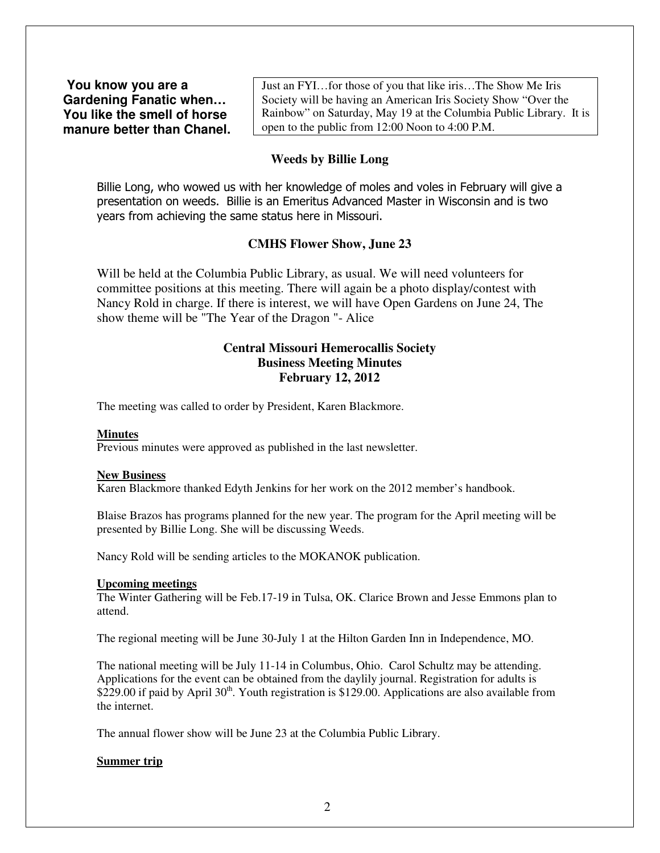**You know you are a Gardening Fanatic when… You like the smell of horse manure better than Chanel.**  Just an FYI…for those of you that like iris…The Show Me Iris Society will be having an American Iris Society Show "Over the Rainbow" on Saturday, May 19 at the Columbia Public Library. It is open to the public from 12:00 Noon to 4:00 P.M.

## **Weeds by Billie Long**

Billie Long, who wowed us with her knowledge of moles and voles in February will give a presentation on weeds. Billie is an Emeritus Advanced Master in Wisconsin and is two years from achieving the same status here in Missouri.

## **CMHS Flower Show, June 23**

Will be held at the Columbia Public Library, as usual. We will need volunteers for committee positions at this meeting. There will again be a photo display/contest with Nancy Rold in charge. If there is interest, we will have Open Gardens on June 24, The show theme will be "The Year of the Dragon "- Alice

## **Central Missouri Hemerocallis Society Business Meeting Minutes February 12, 2012**

The meeting was called to order by President, Karen Blackmore.

#### **Minutes**

Previous minutes were approved as published in the last newsletter.

#### **New Business**

Karen Blackmore thanked Edyth Jenkins for her work on the 2012 member's handbook.

Blaise Brazos has programs planned for the new year. The program for the April meeting will be presented by Billie Long. She will be discussing Weeds.

Nancy Rold will be sending articles to the MOKANOK publication.

## **Upcoming meetings**

The Winter Gathering will be Feb.17-19 in Tulsa, OK. Clarice Brown and Jesse Emmons plan to attend.

The regional meeting will be June 30-July 1 at the Hilton Garden Inn in Independence, MO.

The national meeting will be July 11-14 in Columbus, Ohio. Carol Schultz may be attending. Applications for the event can be obtained from the daylily journal. Registration for adults is \$229.00 if paid by April  $30<sup>th</sup>$ . Youth registration is \$129.00. Applications are also available from the internet.

The annual flower show will be June 23 at the Columbia Public Library.

### **Summer trip**